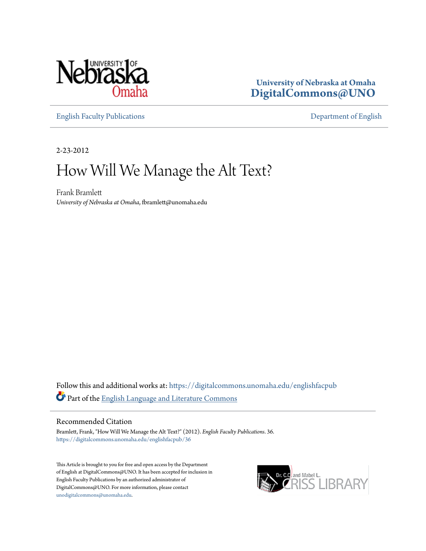

**University of Nebraska at Omaha [DigitalCommons@UNO](https://digitalcommons.unomaha.edu?utm_source=digitalcommons.unomaha.edu%2Fenglishfacpub%2F36&utm_medium=PDF&utm_campaign=PDFCoverPages)**

[English Faculty Publications](https://digitalcommons.unomaha.edu/englishfacpub?utm_source=digitalcommons.unomaha.edu%2Fenglishfacpub%2F36&utm_medium=PDF&utm_campaign=PDFCoverPages) [Department of English](https://digitalcommons.unomaha.edu/english?utm_source=digitalcommons.unomaha.edu%2Fenglishfacpub%2F36&utm_medium=PDF&utm_campaign=PDFCoverPages)

2-23-2012

## How Will We Manage the Alt Text?

Frank Bramlett *University of Nebraska at Omaha*, fbramlett@unomaha.edu

Follow this and additional works at: [https://digitalcommons.unomaha.edu/englishfacpub](https://digitalcommons.unomaha.edu/englishfacpub?utm_source=digitalcommons.unomaha.edu%2Fenglishfacpub%2F36&utm_medium=PDF&utm_campaign=PDFCoverPages) Part of the [English Language and Literature Commons](http://network.bepress.com/hgg/discipline/455?utm_source=digitalcommons.unomaha.edu%2Fenglishfacpub%2F36&utm_medium=PDF&utm_campaign=PDFCoverPages)

## Recommended Citation

Bramlett, Frank, "How Will We Manage the Alt Text?" (2012). *English Faculty Publications*. 36. [https://digitalcommons.unomaha.edu/englishfacpub/36](https://digitalcommons.unomaha.edu/englishfacpub/36?utm_source=digitalcommons.unomaha.edu%2Fenglishfacpub%2F36&utm_medium=PDF&utm_campaign=PDFCoverPages)

This Article is brought to you for free and open access by the Department of English at DigitalCommons@UNO. It has been accepted for inclusion in English Faculty Publications by an authorized administrator of DigitalCommons@UNO. For more information, please contact [unodigitalcommons@unomaha.edu](mailto:unodigitalcommons@unomaha.edu).

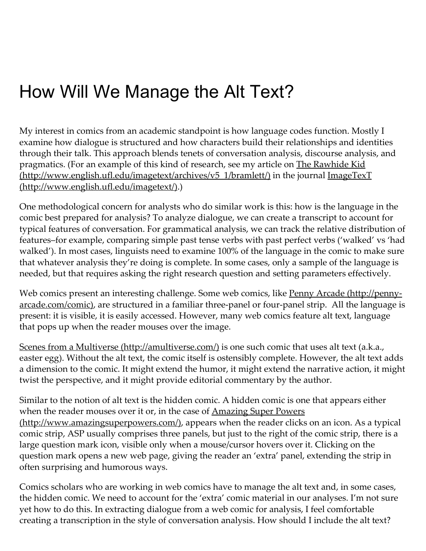## How Will We Manage the Alt Text?

My interest in comics from an academic standpoint is how language codes function. Mostly I examine how dialogue is structured and how characters build their relationships and identities through their talk. This approach blends tenets of conversation analysis, discourse analysis, and pragmatics. (For an example of this kind of research, see my article on The Rawhide Kid  $(\text{http://www.english.util.edu/imagetext/archives/v5 1/branchit/})$  in the journal ImageTexT (http://www.english.ufl.edu/imagetext/).)

One methodological concern for analysts who do similar work is this: how is the language in the comic best prepared for analysis? To analyze dialogue, we can create a transcript to account for typical features of conversation. For grammatical analysis, we can track the relative distribution of features–for example, comparing simple past tense verbs with past perfect verbs ('walked' vs 'had walked'). In most cases, linguists need to examine 100% of the language in the comic to make sure that whatever analysis they're doing is complete. In some cases, only a sample of the language is needed, but that requires asking the right research question and setting parameters effectively.

Web comics present an interesting challenge. Some web comics, like Penny Arcade (http://penny[arcade.com/comic\),](http://penny-arcade.com/comic) are structured in a familiar three-panel or four-panel strip. All the language is present: it is visible, it is easily accessed. However, many web comics feature alt text, language that pops up when the reader mouses over the image.

Scenes from a Multiverse [\(http://amultiverse.com/\)](http://amultiverse.com/) is one such comic that uses alt text (a.k.a., easter egg). Without the alt text, the comic itself is ostensibly complete. However, the alt text adds a dimension to the comic. It might extend the humor, it might extend the narrative action, it might twist the perspective, and it might provide editorial commentary by the author.

Similar to the notion of alt text is the hidden comic. A hidden comic is one that appears either when the reader mouses over it or, in the case of Amazing Super Powers [\(http://www.amazingsuperpowers.com/\),](http://www.amazingsuperpowers.com/) appears when the reader clicks on an icon. As a typical comic strip, ASP usually comprises three panels, but just to the right of the comic strip, there is a large question mark icon, visible only when a mouse/cursor hovers over it. Clicking on the question mark opens a new web page, giving the reader an 'extra' panel, extending the strip in often surprising and humorous ways.

Comics scholars who are working in web comics have to manage the alt text and, in some cases, the hidden comic. We need to account for the 'extra' comic material in our analyses. I'm not sure yet how to do this. In extracting dialogue from a web comic for analysis, I feel comfortable creating a transcription in the style of conversation analysis. How should I include the alt text?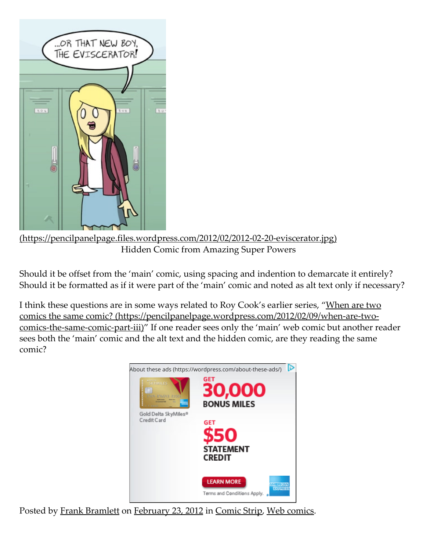

[\(https://pencilpanelpage.files.wordpress.com/2012/02/2012‑02‑20‑eviscerator.jpg\)](https://pencilpanelpage.files.wordpress.com/2012/02/2012-02-20-eviscerator.jpg) Hidden Comic from Amazing Super Powers

Should it be offset from the 'main' comic, using spacing and indention to demarcate it entirely? Should it be formatted as if it were part of the 'main' comic and noted as alt text only if necessary?

I think these questions are in some ways related to Roy Cook's earlier series, "When are two comics the same comic? (https://pencilpanelpage.wordpress.com/2012/02/09/when-are-twocomics-the-same-comic-part-iii)" If one reader sees only the 'main' web comic but another reader sees both the 'main' comic and the alt text and the hidden comic, are they reading the same comic?



Posted by Frank [Bramlett](https://pencilpanelpage.wordpress.com/author/bramling/) on [February](https://pencilpanelpage.wordpress.com/2012/02/23/how-will-we-manage-the-alt-text/) 23, 2012 in [Comic](https://pencilpanelpage.wordpress.com/category/comic-strip/) Strip, Web [comics.](https://pencilpanelpage.wordpress.com/category/web-comics/)